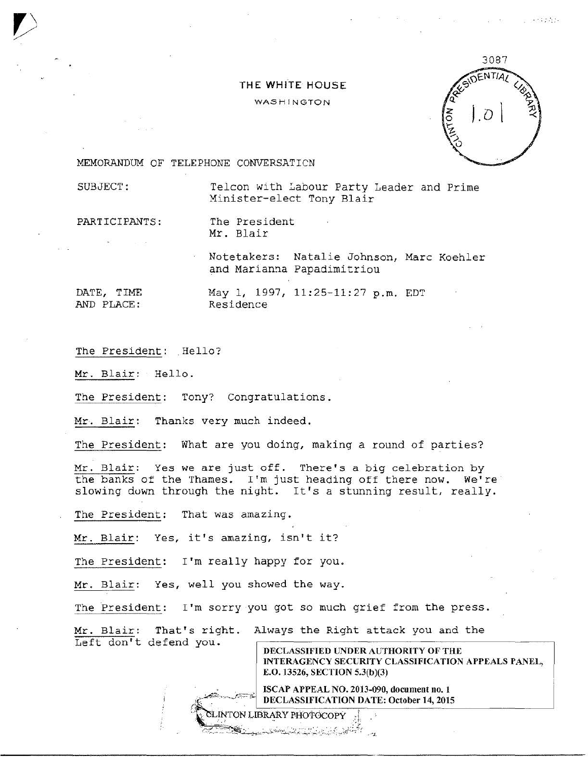## THE WHitE HOUSE

## **WASHINGTON**



<sup>~</sup>; *::* .

MEMORANDUM OF TELEPHONE CONVERSATICN

SUBJECT: Telcon with Labour Party Leader and Prime Minister-elect Tony Blair

PARTICIPANTS: The President Mr. Blair

> Notetakers: Natalie Johnson, Marc Koehler and Marianna Papadimitriou

DATE, TIME AND PLACE :

May 1, 1997, 11:25-11:27 p.m. EDT Residence

The President: Hello?

Left don't defend you.

Mr. Blair: Hello.

The President: Tony? Congratulations.

Mr. Blair: Thanks very much indeed.

The President: What are you doing, making a round of parties?

Mr. Blair: Yes we are just off. There's a big celebration by the banks of the Thames. I'm just heading off there now. We're' slowing down through the night. It's a stunning result, really.

The President: That was amazing.

Mr. Blair: Yes, it's amazing, isn't it?

The President: I'm really happy for you.

Mr. Blair: Yes, well you showed the way.

The President: I'm sorry you got so much grief from the press.

Mr. Blair: That's right. Always the Right attack you and the

INTON LIBRARY PHOTOCOPY . PRESERVATION AND PROVIDENCE

DECLASSIFIED UNDER AUTHORITY OF THE INTERAGENCY SECURITY CLASSIFICATION APPEALS PANEL, E.O. 13526, SECTION 5.3(b)(3)

ISCAP APPEAL NO. 2013-090, document no. 1 DECLASSIFICATION DATE: October 14,2015 · \_\_. · , , , ..-J.r-:·'